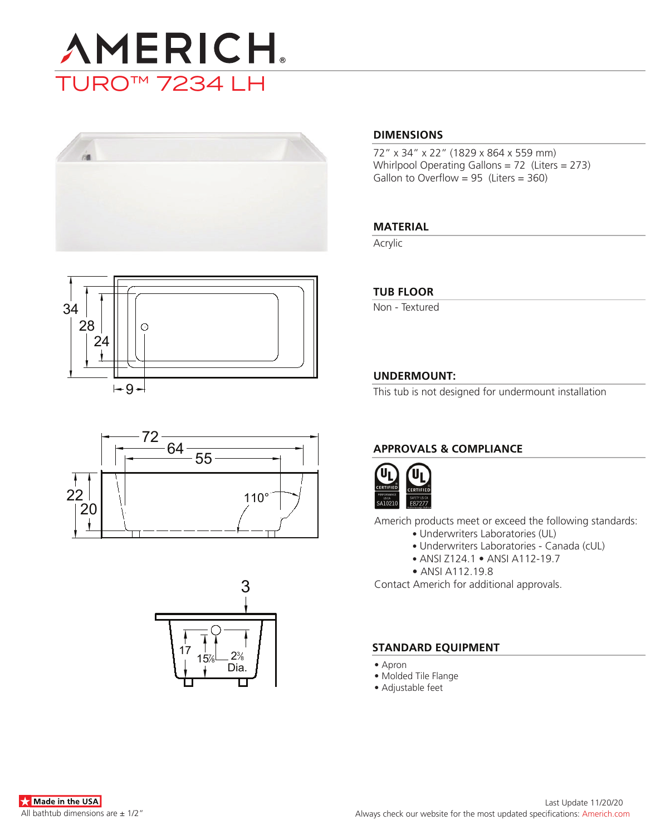









#### **DIMENSIONS**

72" x 34" x 22" (1829 x 864 x 559 mm) Whirlpool Operating Gallons = 72 (Liters = 273) Gallon to Overflow =  $95$  (Liters =  $360$ )

#### **MATERIAL**

Acrylic

#### **TUB FLOOR**

Non - Textured

#### **UNDERMOUNT:**

This tub is not designed for undermount installation

### **APPROVALS & COMPLIANCE**



Americh products meet or exceed the following standards:

- Underwriters Laboratories (UL)
	- Underwriters Laboratories Canada (cUL)
	- ANSI Z124.1 ANSI A112-19.7
- ANSI A112.19.8

Contact Americh for additional approvals.

#### **STANDARD EQUIPMENT**

- Apron
- Molded Tile Flange
- Adjustable feet